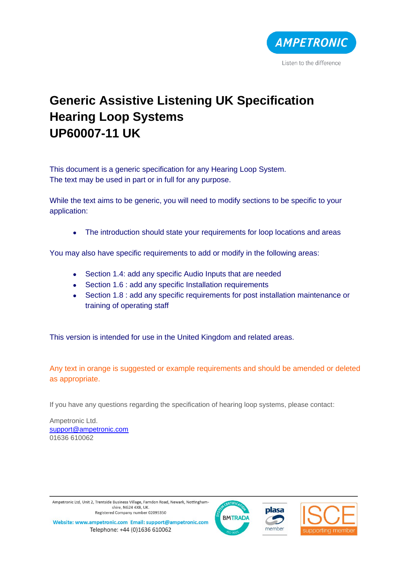

# **Generic Assistive Listening UK Specification Hearing Loop Systems UP60007-11 UK**

This document is a generic specification for any Hearing Loop System. The text may be used in part or in full for any purpose.

While the text aims to be generic, you will need to modify sections to be specific to your application:

• The introduction should state your requirements for loop locations and areas

You may also have specific requirements to add or modify in the following areas:

- Section 1.4: add any specific Audio Inputs that are needed
- Section 1.6 : add any specific Installation requirements
- Section 1.8 : add any specific requirements for post installation maintenance or training of operating staff

This version is intended for use in the United Kingdom and related areas.

Any text in orange is suggested or example requirements and should be amended or deleted as appropriate.

If you have any questions regarding the specification of hearing loop systems, please contact:

Ampetronic Ltd. [support@ampetronic.com](mailto:support@ampetronic.com) 01636 610062

Ampetronic Ltd, Unit 2, Trentside Business Village, Farndon Road, Newark, Nottinghamshire, NG24 4XB, UK. Registered Company number 02095350







Website: www.ampetronic.com Email: support@ampetronic.com Telephone: +44 (0)1636 610062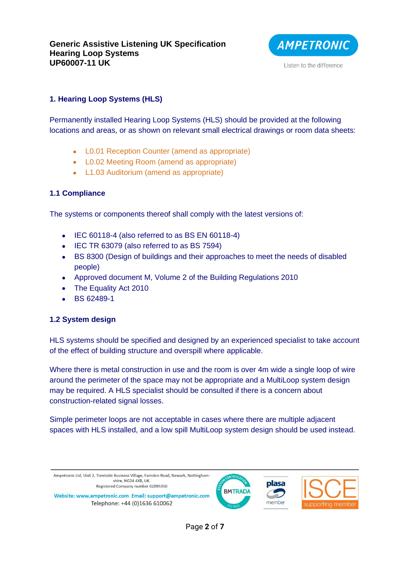

# **1. Hearing Loop Systems (HLS)**

Permanently installed Hearing Loop Systems (HLS) should be provided at the following locations and areas, or as shown on relevant small electrical drawings or room data sheets:

- L0.01 Reception Counter (amend as appropriate)
- L0.02 Meeting Room (amend as appropriate)
- L1.03 Auditorium (amend as appropriate)

# **1.1 Compliance**

The systems or components thereof shall comply with the latest versions of:

- IEC 60118-4 (also referred to as BS EN 60118-4)
- IEC TR 63079 (also referred to as BS 7594)
- BS 8300 (Design of buildings and their approaches to meet the needs of disabled people)
- Approved document M, Volume 2 of the Building Regulations 2010
- The Equality Act 2010
- BS 62489-1

# **1.2 System design**

HLS systems should be specified and designed by an experienced specialist to take account of the effect of building structure and overspill where applicable.

Where there is metal construction in use and the room is over 4m wide a single loop of wire around the perimeter of the space may not be appropriate and a MultiLoop system design may be required. A HLS specialist should be consulted if there is a concern about construction-related signal losses.

Simple perimeter loops are not acceptable in cases where there are multiple adjacent spaces with HLS installed, and a low spill MultiLoop system design should be used instead.

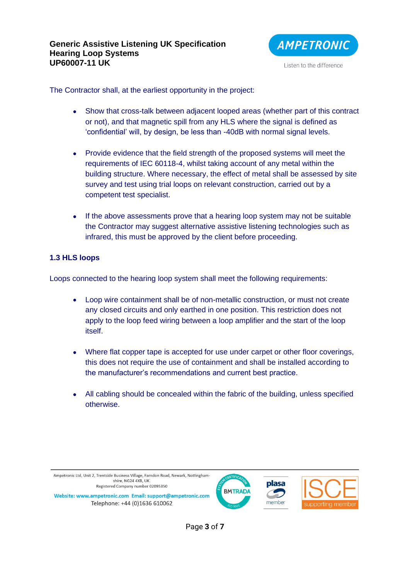

The Contractor shall, at the earliest opportunity in the project:

- Show that cross-talk between adjacent looped areas (whether part of this contract or not), and that magnetic spill from any HLS where the signal is defined as 'confidential' will, by design, be less than -40dB with normal signal levels.
- Provide evidence that the field strength of the proposed systems will meet the requirements of IEC 60118-4, whilst taking account of any metal within the building structure. Where necessary, the effect of metal shall be assessed by site survey and test using trial loops on relevant construction, carried out by a competent test specialist.
- If the above assessments prove that a hearing loop system may not be suitable the Contractor may suggest alternative assistive listening technologies such as infrared, this must be approved by the client before proceeding.

#### **1.3 HLS loops**

Loops connected to the hearing loop system shall meet the following requirements:

- Loop wire containment shall be of non-metallic construction, or must not create any closed circuits and only earthed in one position. This restriction does not apply to the loop feed wiring between a loop amplifier and the start of the loop itself.
- Where flat copper tape is accepted for use under carpet or other floor coverings, this does not require the use of containment and shall be installed according to the manufacturer's recommendations and current best practice.
- All cabling should be concealed within the fabric of the building, unless specified otherwise.





Page **3** of **7**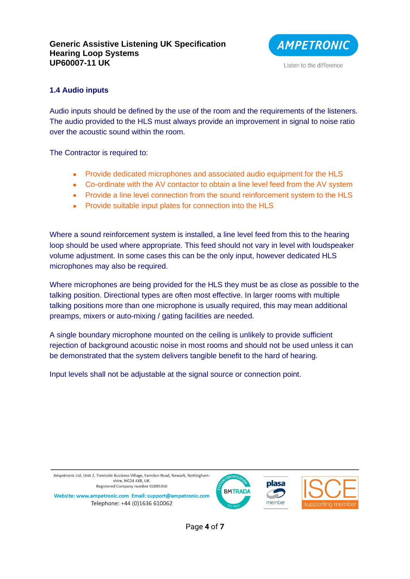

Listen to the difference

# **1.4 Audio inputs**

Audio inputs should be defined by the use of the room and the requirements of the listeners. The audio provided to the HLS must always provide an improvement in signal to noise ratio over the acoustic sound within the room.

The Contractor is required to:

- Provide dedicated microphones and associated audio equipment for the HLS
- Co-ordinate with the AV contactor to obtain a line level feed from the AV system
- Provide a line level connection from the sound reinforcement system to the HLS
- Provide suitable input plates for connection into the HLS

Where a sound reinforcement system is installed, a line level feed from this to the hearing loop should be used where appropriate. This feed should not vary in level with loudspeaker volume adjustment. In some cases this can be the only input, however dedicated HLS microphones may also be required.

Where microphones are being provided for the HLS they must be as close as possible to the talking position. Directional types are often most effective. In larger rooms with multiple talking positions more than one microphone is usually required, this may mean additional preamps, mixers or auto-mixing / gating facilities are needed.

A single boundary microphone mounted on the ceiling is unlikely to provide sufficient rejection of background acoustic noise in most rooms and should not be used unless it can be demonstrated that the system delivers tangible benefit to the hard of hearing.

Input levels shall not be adjustable at the signal source or connection point.



Page **4** of **7**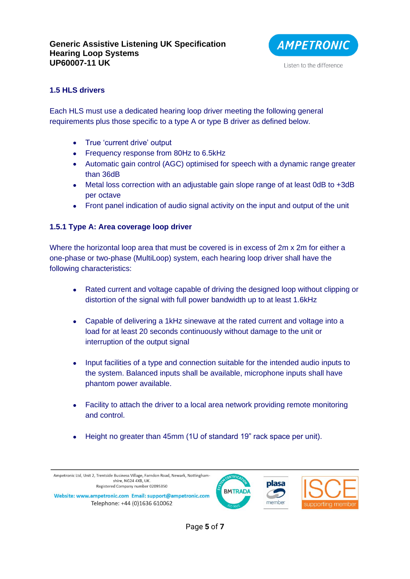

#### **1.5 HLS drivers**

Each HLS must use a dedicated hearing loop driver meeting the following general requirements plus those specific to a type A or type B driver as defined below.

- True 'current drive' output
- Frequency response from 80Hz to 6.5kHz
- Automatic gain control (AGC) optimised for speech with a dynamic range greater than 36dB
- Metal loss correction with an adjustable gain slope range of at least 0dB to +3dB per octave
- Front panel indication of audio signal activity on the input and output of the unit

#### **1.5.1 Type A: Area coverage loop driver**

Where the horizontal loop area that must be covered is in excess of 2m x 2m for either a one-phase or two-phase (MultiLoop) system, each hearing loop driver shall have the following characteristics:

- Rated current and voltage capable of driving the designed loop without clipping or distortion of the signal with full power bandwidth up to at least 1.6kHz
- Capable of delivering a 1kHz sinewave at the rated current and voltage into a load for at least 20 seconds continuously without damage to the unit or interruption of the output signal
- Input facilities of a type and connection suitable for the intended audio inputs to the system. Balanced inputs shall be available, microphone inputs shall have phantom power available.
- Facility to attach the driver to a local area network providing remote monitoring and control.
- Height no greater than 45mm (1U of standard 19" rack space per unit).



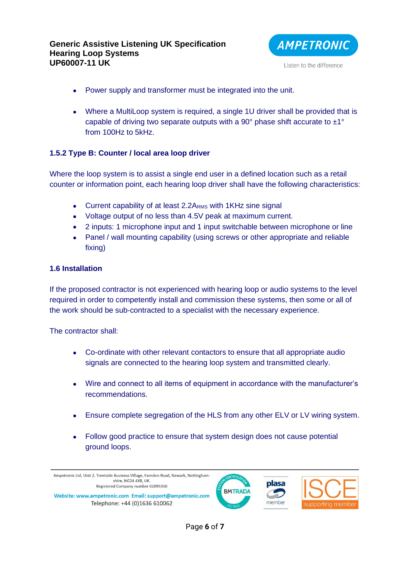

- Power supply and transformer must be integrated into the unit.
- Where a MultiLoop system is required, a single 1U driver shall be provided that is capable of driving two separate outputs with a 90 $^{\circ}$  phase shift accurate to  $\pm 1^{\circ}$ from 100Hz to 5kHz.

# **1.5.2 Type B: Counter / local area loop driver**

Where the loop system is to assist a single end user in a defined location such as a retail counter or information point, each hearing loop driver shall have the following characteristics:

- Current capability of at least  $2.2A<sub>RMS</sub>$  with 1KHz sine signal
- Voltage output of no less than 4.5V peak at maximum current.
- 2 inputs: 1 microphone input and 1 input switchable between microphone or line
- Panel / wall mounting capability (using screws or other appropriate and reliable fixing)

#### **1.6 Installation**

If the proposed contractor is not experienced with hearing loop or audio systems to the level required in order to competently install and commission these systems, then some or all of the work should be sub-contracted to a specialist with the necessary experience.

The contractor shall:

- Co-ordinate with other relevant contactors to ensure that all appropriate audio signals are connected to the hearing loop system and transmitted clearly.
- Wire and connect to all items of equipment in accordance with the manufacturer's recommendations.
- Ensure complete segregation of the HLS from any other ELV or LV wiring system.
- Follow good practice to ensure that system design does not cause potential ground loops.

Ampetronic Ltd, Unit 2, Trentside Business Village, Farndon Road, Newark, Nottinghamshire, NG24 4XB, UK **plasa** Registered Company number 02095350 **BMTRADA** Website: www.ampetronic.com Email: support@ampetronic.com member Telephone: +44 (0)1636 610062